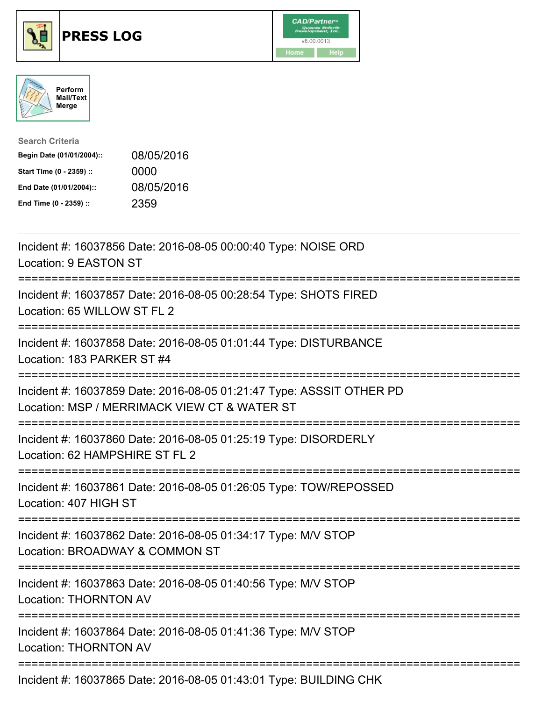





| <b>Search Criteria</b>    |            |
|---------------------------|------------|
| Begin Date (01/01/2004):: | 08/05/2016 |
| Start Time (0 - 2359) ::  | 0000       |
| End Date (01/01/2004)::   | 08/05/2016 |
| End Time (0 - 2359) ::    | 2359       |

| Incident #: 16037856 Date: 2016-08-05 00:00:40 Type: NOISE ORD<br>Location: 9 EASTON ST                                     |
|-----------------------------------------------------------------------------------------------------------------------------|
| Incident #: 16037857 Date: 2016-08-05 00:28:54 Type: SHOTS FIRED<br>Location: 65 WILLOW ST FL 2                             |
| Incident #: 16037858 Date: 2016-08-05 01:01:44 Type: DISTURBANCE<br>Location: 183 PARKER ST #4                              |
| Incident #: 16037859 Date: 2016-08-05 01:21:47 Type: ASSSIT OTHER PD<br>Location: MSP / MERRIMACK VIEW CT & WATER ST        |
| Incident #: 16037860 Date: 2016-08-05 01:25:19 Type: DISORDERLY<br>Location: 62 HAMPSHIRE ST FL 2                           |
| Incident #: 16037861 Date: 2016-08-05 01:26:05 Type: TOW/REPOSSED<br>Location: 407 HIGH ST                                  |
| Incident #: 16037862 Date: 2016-08-05 01:34:17 Type: M/V STOP<br>Location: BROADWAY & COMMON ST                             |
| ==========================<br>Incident #: 16037863 Date: 2016-08-05 01:40:56 Type: M/V STOP<br><b>Location: THORNTON AV</b> |
| Incident #: 16037864 Date: 2016-08-05 01:41:36 Type: M/V STOP<br><b>Location: THORNTON AV</b>                               |
| Incident #: 16037865 Date: 2016-08-05 01:43:01 Type: BUILDING CHK                                                           |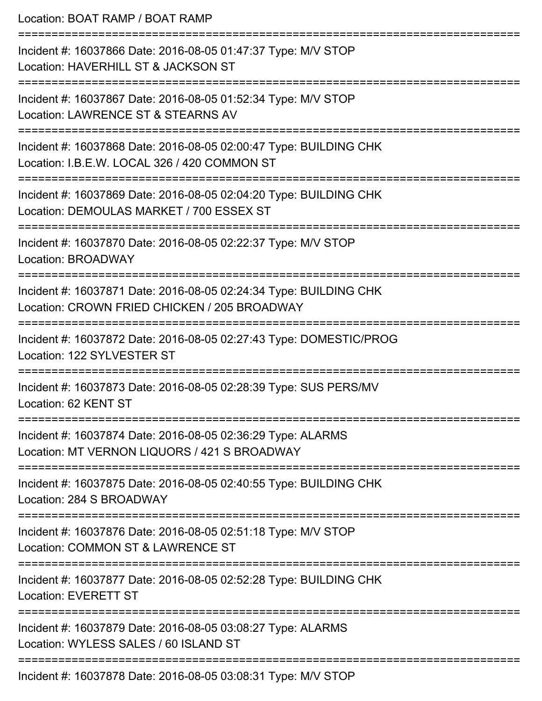Location: BOAT RAMP / BOAT RAMP =========================================================================== Incident #: 16037866 Date: 2016-08-05 01:47:37 Type: M/V STOP Location: HAVERHILL ST & JACKSON ST =========================================================================== Incident #: 16037867 Date: 2016-08-05 01:52:34 Type: M/V STOP Location: LAWRENCE ST & STEARNS AV =========================================================================== Incident #: 16037868 Date: 2016-08-05 02:00:47 Type: BUILDING CHK Location: I.B.E.W. LOCAL 326 / 420 COMMON ST =========================================================================== Incident #: 16037869 Date: 2016-08-05 02:04:20 Type: BUILDING CHK Location: DEMOULAS MARKET / 700 ESSEX ST =========================================================================== Incident #: 16037870 Date: 2016-08-05 02:22:37 Type: M/V STOP Location: BROADWAY =========================================================================== Incident #: 16037871 Date: 2016-08-05 02:24:34 Type: BUILDING CHK Location: CROWN FRIED CHICKEN / 205 BROADWAY =========================================================================== Incident #: 16037872 Date: 2016-08-05 02:27:43 Type: DOMESTIC/PROG Location: 122 SYLVESTER ST =========================================================================== Incident #: 16037873 Date: 2016-08-05 02:28:39 Type: SUS PERS/MV Location: 62 KENT ST =========================================================================== Incident #: 16037874 Date: 2016-08-05 02:36:29 Type: ALARMS Location: MT VERNON LIQUORS / 421 S BROADWAY =========================================================================== Incident #: 16037875 Date: 2016-08-05 02:40:55 Type: BUILDING CHK Location: 284 S BROADWAY =========================================================================== Incident #: 16037876 Date: 2016-08-05 02:51:18 Type: M/V STOP Location: COMMON ST & LAWRENCE ST =========================================================================== Incident #: 16037877 Date: 2016-08-05 02:52:28 Type: BUILDING CHK

Location: EVERETT ST

===========================================================================

Incident #: 16037879 Date: 2016-08-05 03:08:27 Type: ALARMS

Location: WYLESS SALES / 60 ISLAND ST

===========================================================================

Incident #: 16037878 Date: 2016-08-05 03:08:31 Type: M/V STOP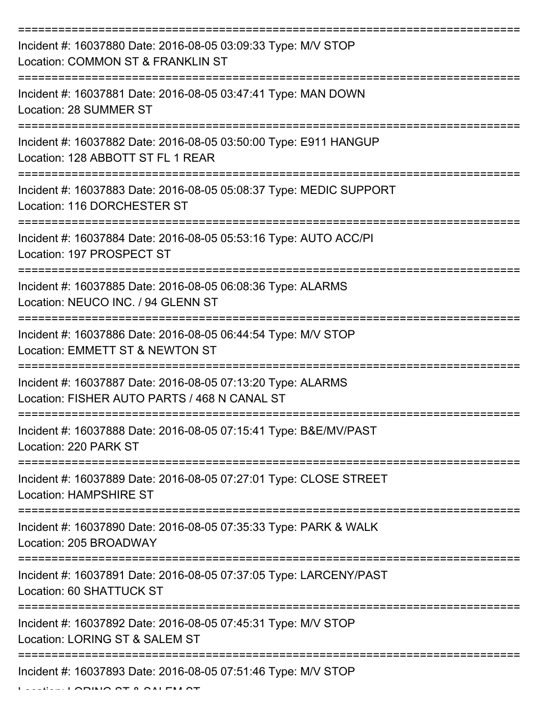| Incident #: 16037880 Date: 2016-08-05 03:09:33 Type: M/V STOP<br>Location: COMMON ST & FRANKLIN ST                   |
|----------------------------------------------------------------------------------------------------------------------|
| Incident #: 16037881 Date: 2016-08-05 03:47:41 Type: MAN DOWN<br>Location: 28 SUMMER ST                              |
| Incident #: 16037882 Date: 2016-08-05 03:50:00 Type: E911 HANGUP<br>Location: 128 ABBOTT ST FL 1 REAR                |
| Incident #: 16037883 Date: 2016-08-05 05:08:37 Type: MEDIC SUPPORT<br>Location: 116 DORCHESTER ST                    |
| Incident #: 16037884 Date: 2016-08-05 05:53:16 Type: AUTO ACC/PI<br>Location: 197 PROSPECT ST<br>------------------- |
| Incident #: 16037885 Date: 2016-08-05 06:08:36 Type: ALARMS<br>Location: NEUCO INC. / 94 GLENN ST                    |
| Incident #: 16037886 Date: 2016-08-05 06:44:54 Type: M/V STOP<br>Location: EMMETT ST & NEWTON ST                     |
| Incident #: 16037887 Date: 2016-08-05 07:13:20 Type: ALARMS<br>Location: FISHER AUTO PARTS / 468 N CANAL ST          |
| Incident #: 16037888 Date: 2016-08-05 07:15:41 Type: B&E/MV/PAST<br>Location: 220 PARK ST                            |
| Incident #: 16037889 Date: 2016-08-05 07:27:01 Type: CLOSE STREET<br><b>Location: HAMPSHIRE ST</b>                   |
| Incident #: 16037890 Date: 2016-08-05 07:35:33 Type: PARK & WALK<br>Location: 205 BROADWAY                           |
| Incident #: 16037891 Date: 2016-08-05 07:37:05 Type: LARCENY/PAST<br>Location: 60 SHATTUCK ST                        |
| Incident #: 16037892 Date: 2016-08-05 07:45:31 Type: M/V STOP<br>Location: LORING ST & SALEM ST                      |
| Incident #: 16037893 Date: 2016-08-05 07:51:46 Type: M/V STOP                                                        |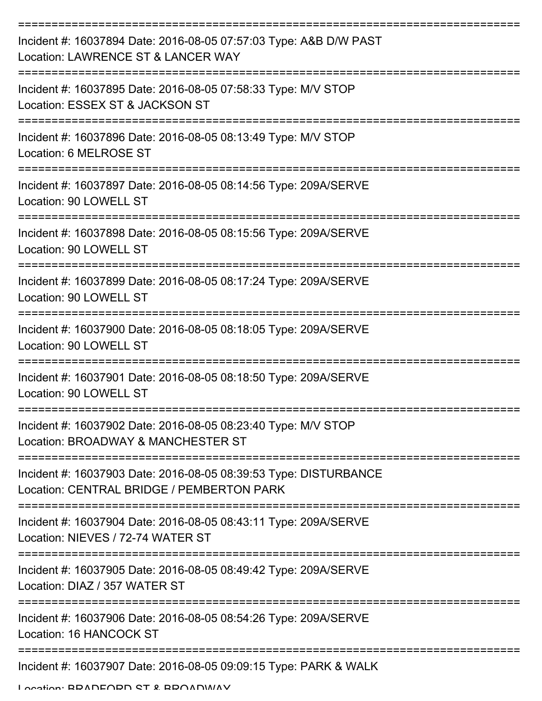| Incident #: 16037894 Date: 2016-08-05 07:57:03 Type: A&B D/W PAST<br>Location: LAWRENCE ST & LANCER WAY       |
|---------------------------------------------------------------------------------------------------------------|
| Incident #: 16037895 Date: 2016-08-05 07:58:33 Type: M/V STOP<br>Location: ESSEX ST & JACKSON ST              |
| Incident #: 16037896 Date: 2016-08-05 08:13:49 Type: M/V STOP<br>Location: 6 MELROSE ST                       |
| Incident #: 16037897 Date: 2016-08-05 08:14:56 Type: 209A/SERVE<br>Location: 90 LOWELL ST                     |
| Incident #: 16037898 Date: 2016-08-05 08:15:56 Type: 209A/SERVE<br>Location: 90 LOWELL ST                     |
| Incident #: 16037899 Date: 2016-08-05 08:17:24 Type: 209A/SERVE<br>Location: 90 LOWELL ST                     |
| Incident #: 16037900 Date: 2016-08-05 08:18:05 Type: 209A/SERVE<br>Location: 90 LOWELL ST                     |
| Incident #: 16037901 Date: 2016-08-05 08:18:50 Type: 209A/SERVE<br>Location: 90 LOWELL ST                     |
| Incident #: 16037902 Date: 2016-08-05 08:23:40 Type: M/V STOP<br>Location: BROADWAY & MANCHESTER ST           |
| Incident #: 16037903 Date: 2016-08-05 08:39:53 Type: DISTURBANCE<br>Location: CENTRAL BRIDGE / PEMBERTON PARK |
| Incident #: 16037904 Date: 2016-08-05 08:43:11 Type: 209A/SERVE<br>Location: NIEVES / 72-74 WATER ST          |
| Incident #: 16037905 Date: 2016-08-05 08:49:42 Type: 209A/SERVE<br>Location: DIAZ / 357 WATER ST              |
| Incident #: 16037906 Date: 2016-08-05 08:54:26 Type: 209A/SERVE<br>Location: 16 HANCOCK ST                    |
| Incident #: 16037907 Date: 2016-08-05 09:09:15 Type: PARK & WALK                                              |

Location: BRADFORD ST & BROADWAY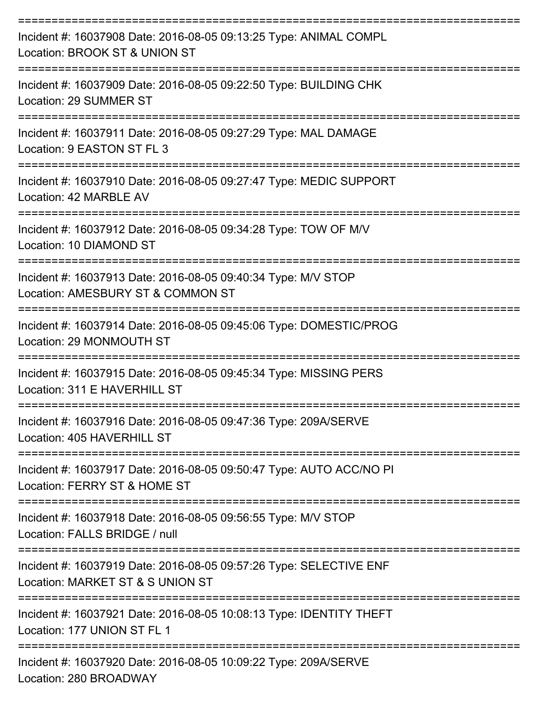| Incident #: 16037908 Date: 2016-08-05 09:13:25 Type: ANIMAL COMPL<br>Location: BROOK ST & UNION ST                 |
|--------------------------------------------------------------------------------------------------------------------|
| Incident #: 16037909 Date: 2016-08-05 09:22:50 Type: BUILDING CHK<br>Location: 29 SUMMER ST<br>------------------- |
| Incident #: 16037911 Date: 2016-08-05 09:27:29 Type: MAL DAMAGE<br>Location: 9 EASTON ST FL 3                      |
| Incident #: 16037910 Date: 2016-08-05 09:27:47 Type: MEDIC SUPPORT<br>Location: 42 MARBLE AV                       |
| Incident #: 16037912 Date: 2016-08-05 09:34:28 Type: TOW OF M/V<br>Location: 10 DIAMOND ST                         |
| Incident #: 16037913 Date: 2016-08-05 09:40:34 Type: M/V STOP<br>Location: AMESBURY ST & COMMON ST                 |
| Incident #: 16037914 Date: 2016-08-05 09:45:06 Type: DOMESTIC/PROG<br>Location: 29 MONMOUTH ST                     |
| Incident #: 16037915 Date: 2016-08-05 09:45:34 Type: MISSING PERS<br>Location: 311 E HAVERHILL ST                  |
| Incident #: 16037916 Date: 2016-08-05 09:47:36 Type: 209A/SERVE<br>Location: 405 HAVERHILL ST                      |
| Incident #: 16037917 Date: 2016-08-05 09:50:47 Type: AUTO ACC/NO PI<br>Location: FERRY ST & HOME ST                |
| Incident #: 16037918 Date: 2016-08-05 09:56:55 Type: M/V STOP<br>Location: FALLS BRIDGE / null                     |
| Incident #: 16037919 Date: 2016-08-05 09:57:26 Type: SELECTIVE ENF<br>Location: MARKET ST & S UNION ST             |
| Incident #: 16037921 Date: 2016-08-05 10:08:13 Type: IDENTITY THEFT<br>Location: 177 UNION ST FL 1                 |
| Incident #: 16037920 Date: 2016-08-05 10:09:22 Type: 209A/SERVE<br>Location: 280 BROADWAY                          |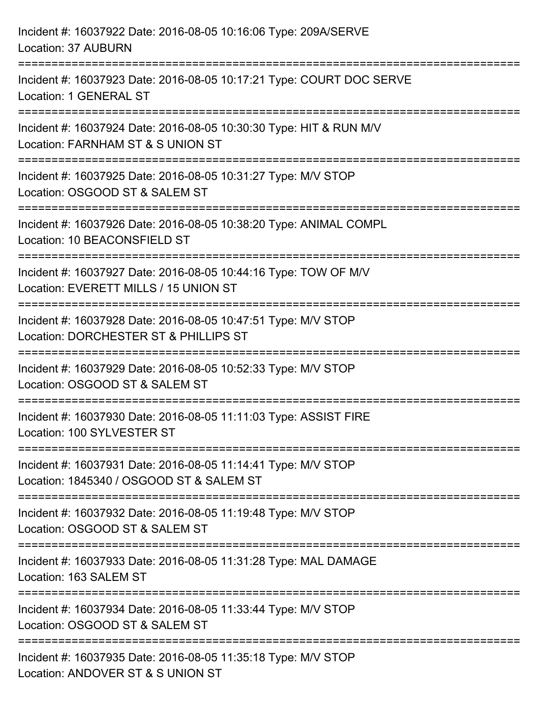| Incident #: 16037922 Date: 2016-08-05 10:16:06 Type: 209A/SERVE<br>Location: 37 AUBURN                    |
|-----------------------------------------------------------------------------------------------------------|
| Incident #: 16037923 Date: 2016-08-05 10:17:21 Type: COURT DOC SERVE<br>Location: 1 GENERAL ST            |
| Incident #: 16037924 Date: 2016-08-05 10:30:30 Type: HIT & RUN M/V<br>Location: FARNHAM ST & S UNION ST   |
| Incident #: 16037925 Date: 2016-08-05 10:31:27 Type: M/V STOP<br>Location: OSGOOD ST & SALEM ST           |
| Incident #: 16037926 Date: 2016-08-05 10:38:20 Type: ANIMAL COMPL<br>Location: 10 BEACONSFIELD ST         |
| Incident #: 16037927 Date: 2016-08-05 10:44:16 Type: TOW OF M/V<br>Location: EVERETT MILLS / 15 UNION ST  |
| Incident #: 16037928 Date: 2016-08-05 10:47:51 Type: M/V STOP<br>Location: DORCHESTER ST & PHILLIPS ST    |
| Incident #: 16037929 Date: 2016-08-05 10:52:33 Type: M/V STOP<br>Location: OSGOOD ST & SALEM ST           |
| Incident #: 16037930 Date: 2016-08-05 11:11:03 Type: ASSIST FIRE<br>Location: 100 SYLVESTER ST            |
| Incident #: 16037931 Date: 2016-08-05 11:14:41 Type: M/V STOP<br>Location: 1845340 / OSGOOD ST & SALEM ST |
| Incident #: 16037932 Date: 2016-08-05 11:19:48 Type: M/V STOP<br>Location: OSGOOD ST & SALEM ST           |
| Incident #: 16037933 Date: 2016-08-05 11:31:28 Type: MAL DAMAGE<br>Location: 163 SALEM ST                 |
| Incident #: 16037934 Date: 2016-08-05 11:33:44 Type: M/V STOP<br>Location: OSGOOD ST & SALEM ST           |
| Incident #: 16037935 Date: 2016-08-05 11:35:18 Type: M/V STOP<br>Location: ANDOVER ST & S UNION ST        |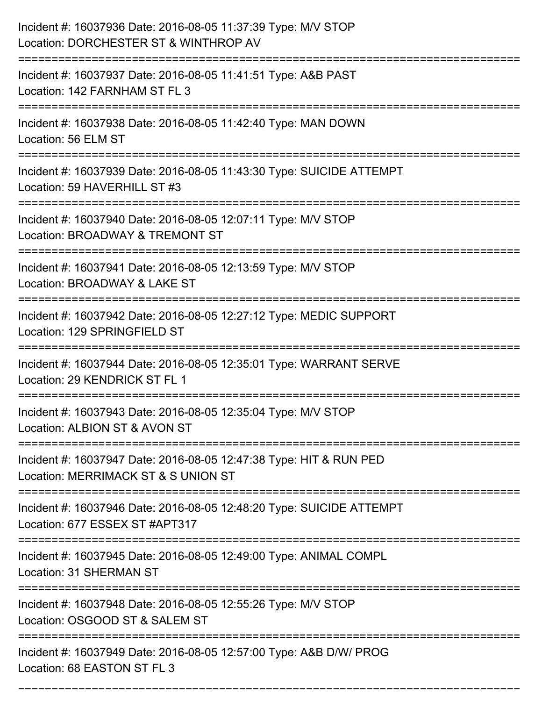| Incident #: 16037936 Date: 2016-08-05 11:37:39 Type: M/V STOP<br>Location: DORCHESTER ST & WINTHROP AV                           |
|----------------------------------------------------------------------------------------------------------------------------------|
| Incident #: 16037937 Date: 2016-08-05 11:41:51 Type: A&B PAST<br>Location: 142 FARNHAM ST FL 3                                   |
| Incident #: 16037938 Date: 2016-08-05 11:42:40 Type: MAN DOWN<br>Location: 56 ELM ST                                             |
| Incident #: 16037939 Date: 2016-08-05 11:43:30 Type: SUICIDE ATTEMPT<br>Location: 59 HAVERHILL ST #3                             |
| Incident #: 16037940 Date: 2016-08-05 12:07:11 Type: M/V STOP<br>Location: BROADWAY & TREMONT ST<br>;======================      |
| Incident #: 16037941 Date: 2016-08-05 12:13:59 Type: M/V STOP<br>Location: BROADWAY & LAKE ST                                    |
| Incident #: 16037942 Date: 2016-08-05 12:27:12 Type: MEDIC SUPPORT<br>Location: 129 SPRINGFIELD ST                               |
| Incident #: 16037944 Date: 2016-08-05 12:35:01 Type: WARRANT SERVE<br>Location: 29 KENDRICK ST FL 1                              |
| Incident #: 16037943 Date: 2016-08-05 12:35:04 Type: M/V STOP<br>Location: ALBION ST & AVON ST                                   |
| Incident #: 16037947 Date: 2016-08-05 12:47:38 Type: HIT & RUN PED<br>Location: MERRIMACK ST & S UNION ST<br>=================== |
| Incident #: 16037946 Date: 2016-08-05 12:48:20 Type: SUICIDE ATTEMPT<br>Location: 677 ESSEX ST #APT317                           |
| Incident #: 16037945 Date: 2016-08-05 12:49:00 Type: ANIMAL COMPL<br><b>Location: 31 SHERMAN ST</b>                              |
| Incident #: 16037948 Date: 2016-08-05 12:55:26 Type: M/V STOP<br>Location: OSGOOD ST & SALEM ST                                  |
| Incident #: 16037949 Date: 2016-08-05 12:57:00 Type: A&B D/W/ PROG<br>Location: 68 EASTON ST FL 3                                |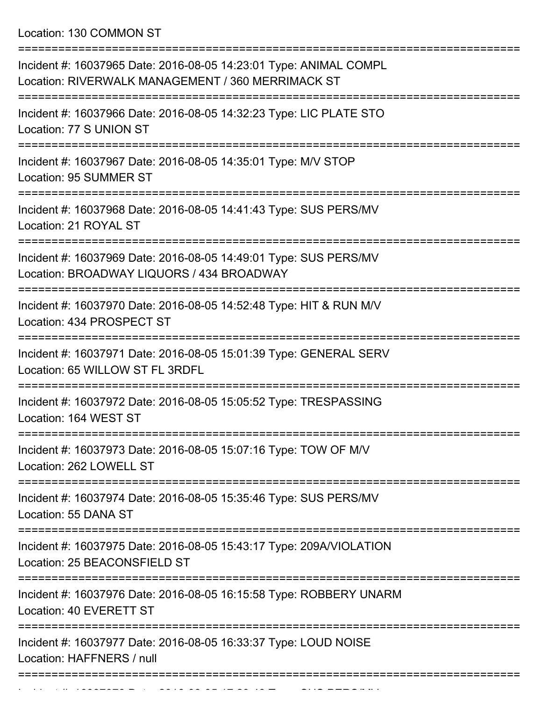Location: 130 COMMON ST

| Incident #: 16037965 Date: 2016-08-05 14:23:01 Type: ANIMAL COMPL<br>Location: RIVERWALK MANAGEMENT / 360 MERRIMACK ST                        |
|-----------------------------------------------------------------------------------------------------------------------------------------------|
| Incident #: 16037966 Date: 2016-08-05 14:32:23 Type: LIC PLATE STO<br>Location: 77 S UNION ST                                                 |
| Incident #: 16037967 Date: 2016-08-05 14:35:01 Type: M/V STOP<br>Location: 95 SUMMER ST                                                       |
| Incident #: 16037968 Date: 2016-08-05 14:41:43 Type: SUS PERS/MV<br>Location: 21 ROYAL ST                                                     |
| Incident #: 16037969 Date: 2016-08-05 14:49:01 Type: SUS PERS/MV<br>Location: BROADWAY LIQUORS / 434 BROADWAY<br>:=========================== |
| Incident #: 16037970 Date: 2016-08-05 14:52:48 Type: HIT & RUN M/V<br>Location: 434 PROSPECT ST                                               |
| Incident #: 16037971 Date: 2016-08-05 15:01:39 Type: GENERAL SERV<br>Location: 65 WILLOW ST FL 3RDFL                                          |
| Incident #: 16037972 Date: 2016-08-05 15:05:52 Type: TRESPASSING<br>Location: 164 WEST ST                                                     |
| Incident #: 16037973 Date: 2016-08-05 15:07:16 Type: TOW OF M/V<br>Location: 262 LOWELL ST                                                    |
| Incident #: 16037974 Date: 2016-08-05 15:35:46 Type: SUS PERS/MV<br>Location: 55 DANA ST                                                      |
| Incident #: 16037975 Date: 2016-08-05 15:43:17 Type: 209A/VIOLATION<br>Location: 25 BEACONSFIELD ST                                           |
| Incident #: 16037976 Date: 2016-08-05 16:15:58 Type: ROBBERY UNARM<br>Location: 40 EVERETT ST                                                 |
| Incident #: 16037977 Date: 2016-08-05 16:33:37 Type: LOUD NOISE<br>Location: HAFFNERS / null                                                  |
|                                                                                                                                               |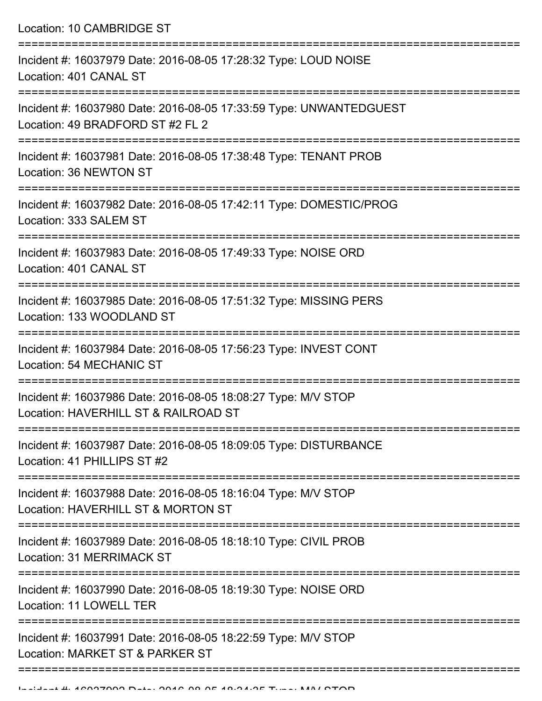Location: 10 CAMBRIDGE ST

| Incident #: 16037979 Date: 2016-08-05 17:28:32 Type: LOUD NOISE<br>Location: 401 CANAL ST              |
|--------------------------------------------------------------------------------------------------------|
| Incident #: 16037980 Date: 2016-08-05 17:33:59 Type: UNWANTEDGUEST<br>Location: 49 BRADFORD ST #2 FL 2 |
| Incident #: 16037981 Date: 2016-08-05 17:38:48 Type: TENANT PROB<br>Location: 36 NEWTON ST             |
| Incident #: 16037982 Date: 2016-08-05 17:42:11 Type: DOMESTIC/PROG<br>Location: 333 SALEM ST           |
| Incident #: 16037983 Date: 2016-08-05 17:49:33 Type: NOISE ORD<br>Location: 401 CANAL ST               |
| Incident #: 16037985 Date: 2016-08-05 17:51:32 Type: MISSING PERS<br>Location: 133 WOODLAND ST         |
| Incident #: 16037984 Date: 2016-08-05 17:56:23 Type: INVEST CONT<br>Location: 54 MECHANIC ST           |
| Incident #: 16037986 Date: 2016-08-05 18:08:27 Type: M/V STOP<br>Location: HAVERHILL ST & RAILROAD ST  |
| Incident #: 16037987 Date: 2016-08-05 18:09:05 Type: DISTURBANCE<br>Location: 41 PHILLIPS ST #2        |
| Incident #: 16037988 Date: 2016-08-05 18:16:04 Type: M/V STOP<br>Location: HAVERHILL ST & MORTON ST    |
| Incident #: 16037989 Date: 2016-08-05 18:18:10 Type: CIVIL PROB<br>Location: 31 MERRIMACK ST           |
| Incident #: 16037990 Date: 2016-08-05 18:19:30 Type: NOISE ORD<br>Location: 11 LOWELL TER              |
| Incident #: 16037991 Date: 2016-08-05 18:22:59 Type: M/V STOP<br>Location: MARKET ST & PARKER ST       |
|                                                                                                        |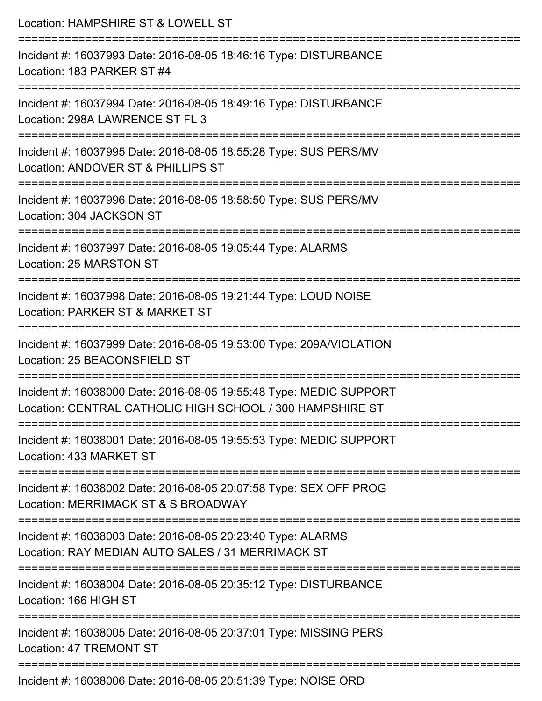| Location: HAMPSHIRE ST & LOWELL ST                                                                                                              |
|-------------------------------------------------------------------------------------------------------------------------------------------------|
| Incident #: 16037993 Date: 2016-08-05 18:46:16 Type: DISTURBANCE<br>Location: 183 PARKER ST #4                                                  |
| Incident #: 16037994 Date: 2016-08-05 18:49:16 Type: DISTURBANCE<br>Location: 298A LAWRENCE ST FL 3                                             |
| Incident #: 16037995 Date: 2016-08-05 18:55:28 Type: SUS PERS/MV<br>Location: ANDOVER ST & PHILLIPS ST<br>;==================================== |
| Incident #: 16037996 Date: 2016-08-05 18:58:50 Type: SUS PERS/MV<br>Location: 304 JACKSON ST                                                    |
| Incident #: 16037997 Date: 2016-08-05 19:05:44 Type: ALARMS<br>Location: 25 MARSTON ST                                                          |
| :=============================<br>Incident #: 16037998 Date: 2016-08-05 19:21:44 Type: LOUD NOISE<br>Location: PARKER ST & MARKET ST            |
| Incident #: 16037999 Date: 2016-08-05 19:53:00 Type: 209A/VIOLATION<br>Location: 25 BEACONSFIELD ST                                             |
| Incident #: 16038000 Date: 2016-08-05 19:55:48 Type: MEDIC SUPPORT<br>Location: CENTRAL CATHOLIC HIGH SCHOOL / 300 HAMPSHIRE ST                 |
| Incident #: 16038001 Date: 2016-08-05 19:55:53 Type: MEDIC SUPPORT<br>Location: 433 MARKET ST                                                   |
| Incident #: 16038002 Date: 2016-08-05 20:07:58 Type: SEX OFF PROG<br>Location: MERRIMACK ST & S BROADWAY                                        |
| Incident #: 16038003 Date: 2016-08-05 20:23:40 Type: ALARMS<br>Location: RAY MEDIAN AUTO SALES / 31 MERRIMACK ST                                |
| Incident #: 16038004 Date: 2016-08-05 20:35:12 Type: DISTURBANCE<br>Location: 166 HIGH ST                                                       |
| Incident #: 16038005 Date: 2016-08-05 20:37:01 Type: MISSING PERS<br>Location: 47 TREMONT ST                                                    |
| Incident #: 16038006 Date: 2016-08-05 20:51:39 Type: NOISE ORD                                                                                  |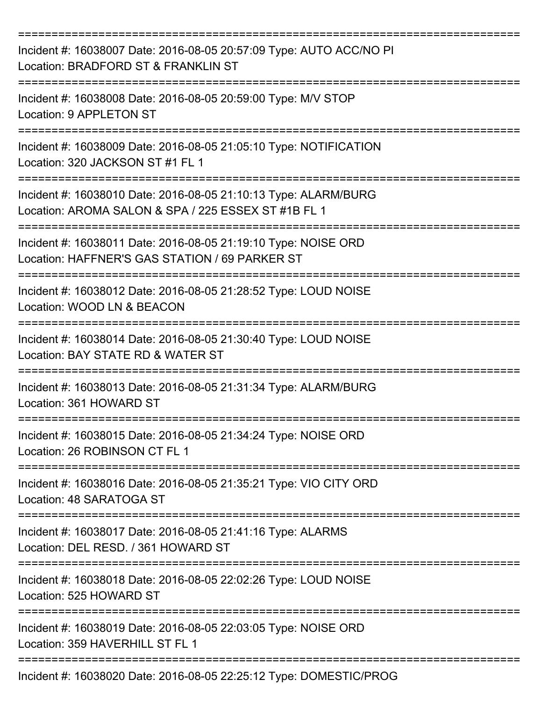| Incident #: 16038007 Date: 2016-08-05 20:57:09 Type: AUTO ACC/NO PI<br>Location: BRADFORD ST & FRANKLIN ST             |
|------------------------------------------------------------------------------------------------------------------------|
| Incident #: 16038008 Date: 2016-08-05 20:59:00 Type: M/V STOP<br>Location: 9 APPLETON ST                               |
| Incident #: 16038009 Date: 2016-08-05 21:05:10 Type: NOTIFICATION<br>Location: 320 JACKSON ST #1 FL 1                  |
| Incident #: 16038010 Date: 2016-08-05 21:10:13 Type: ALARM/BURG<br>Location: AROMA SALON & SPA / 225 ESSEX ST #1B FL 1 |
| Incident #: 16038011 Date: 2016-08-05 21:19:10 Type: NOISE ORD<br>Location: HAFFNER'S GAS STATION / 69 PARKER ST       |
| Incident #: 16038012 Date: 2016-08-05 21:28:52 Type: LOUD NOISE<br>Location: WOOD LN & BEACON                          |
| Incident #: 16038014 Date: 2016-08-05 21:30:40 Type: LOUD NOISE<br>Location: BAY STATE RD & WATER ST                   |
| Incident #: 16038013 Date: 2016-08-05 21:31:34 Type: ALARM/BURG<br>Location: 361 HOWARD ST                             |
| Incident #: 16038015 Date: 2016-08-05 21:34:24 Type: NOISE ORD<br>Location: 26 ROBINSON CT FL 1                        |
| Incident #: 16038016 Date: 2016-08-05 21:35:21 Type: VIO CITY ORD<br>Location: 48 SARATOGA ST                          |
| Incident #: 16038017 Date: 2016-08-05 21:41:16 Type: ALARMS<br>Location: DEL RESD. / 361 HOWARD ST                     |
| Incident #: 16038018 Date: 2016-08-05 22:02:26 Type: LOUD NOISE<br>Location: 525 HOWARD ST                             |
| Incident #: 16038019 Date: 2016-08-05 22:03:05 Type: NOISE ORD<br>Location: 359 HAVERHILL ST FL 1                      |
| Incident #: 16038020 Date: 2016-08-05 22:25:12 Type: DOMESTIC/PROG                                                     |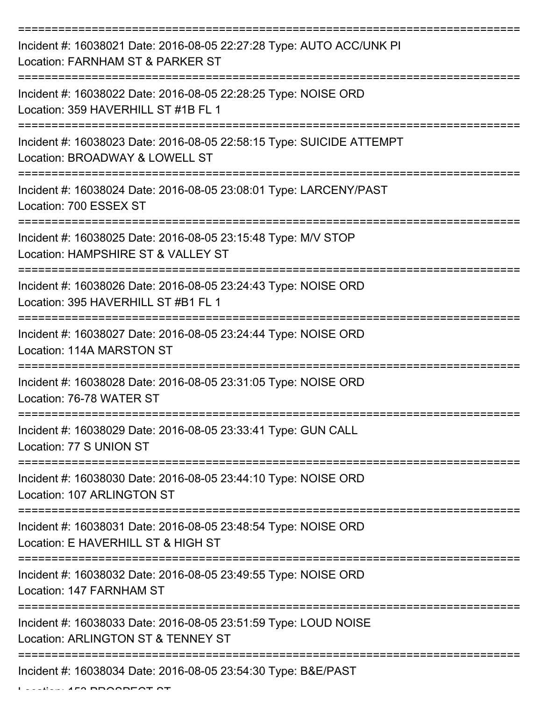| Incident #: 16038021 Date: 2016-08-05 22:27:28 Type: AUTO ACC/UNK PI<br>Location: FARNHAM ST & PARKER ST |
|----------------------------------------------------------------------------------------------------------|
| Incident #: 16038022 Date: 2016-08-05 22:28:25 Type: NOISE ORD<br>Location: 359 HAVERHILL ST #1B FL 1    |
| Incident #: 16038023 Date: 2016-08-05 22:58:15 Type: SUICIDE ATTEMPT<br>Location: BROADWAY & LOWELL ST   |
| Incident #: 16038024 Date: 2016-08-05 23:08:01 Type: LARCENY/PAST<br>Location: 700 ESSEX ST              |
| Incident #: 16038025 Date: 2016-08-05 23:15:48 Type: M/V STOP<br>Location: HAMPSHIRE ST & VALLEY ST      |
| Incident #: 16038026 Date: 2016-08-05 23:24:43 Type: NOISE ORD<br>Location: 395 HAVERHILL ST #B1 FL 1    |
| Incident #: 16038027 Date: 2016-08-05 23:24:44 Type: NOISE ORD<br>Location: 114A MARSTON ST              |
| Incident #: 16038028 Date: 2016-08-05 23:31:05 Type: NOISE ORD<br>Location: 76-78 WATER ST               |
| Incident #: 16038029 Date: 2016-08-05 23:33:41 Type: GUN CALL<br>Location: 77 S UNION ST                 |
| Incident #: 16038030 Date: 2016-08-05 23:44:10 Type: NOISE ORD<br>Location: 107 ARLINGTON ST             |
| Incident #: 16038031 Date: 2016-08-05 23:48:54 Type: NOISE ORD<br>Location: E HAVERHILL ST & HIGH ST     |
| Incident #: 16038032 Date: 2016-08-05 23:49:55 Type: NOISE ORD<br>Location: 147 FARNHAM ST               |
| Incident #: 16038033 Date: 2016-08-05 23:51:59 Type: LOUD NOISE<br>Location: ARLINGTON ST & TENNEY ST    |
| Incident #: 16038034 Date: 2016-08-05 23:54:30 Type: B&E/PAST                                            |